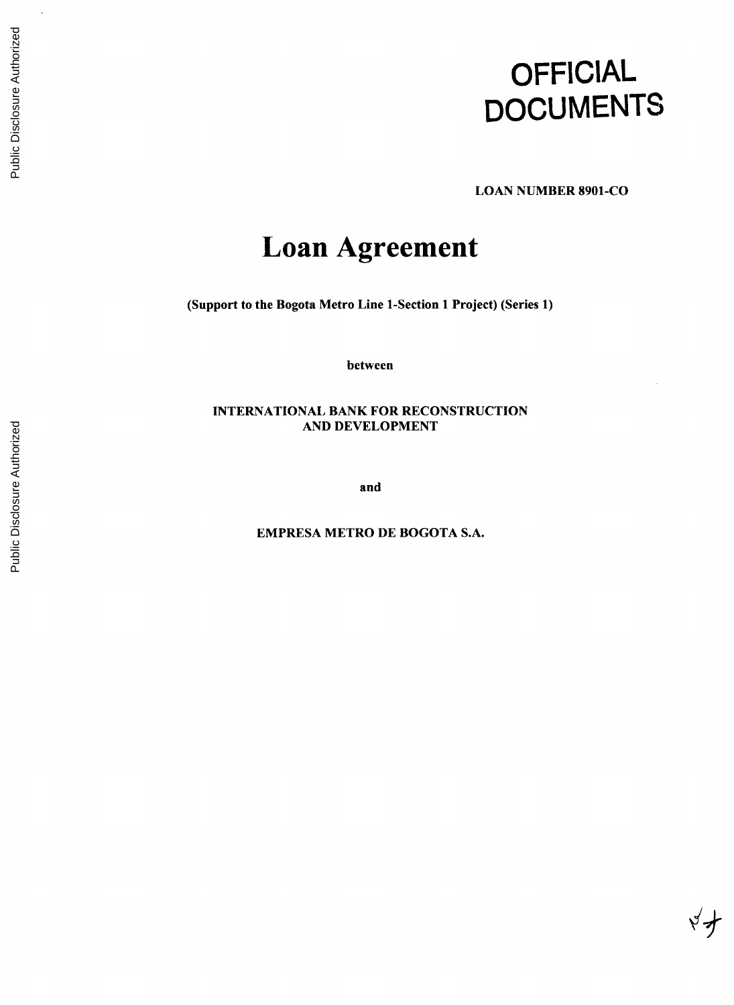# **OFFICIAL DOCUMENTS**

 $x \nleftrightarrow y$ 

**LOAN NUMBER 8901-CO**

## **Loan Agreement**

(Support to the Bogota Metro Line 1-Section **1** Project) (Series **1)**

between

**INTERNATIONAL** BANK FOR **RECONSTRUCTION AND DEVELOPMENT**

and

EMPRESA METRO **DE** BOGOTA **S.A.**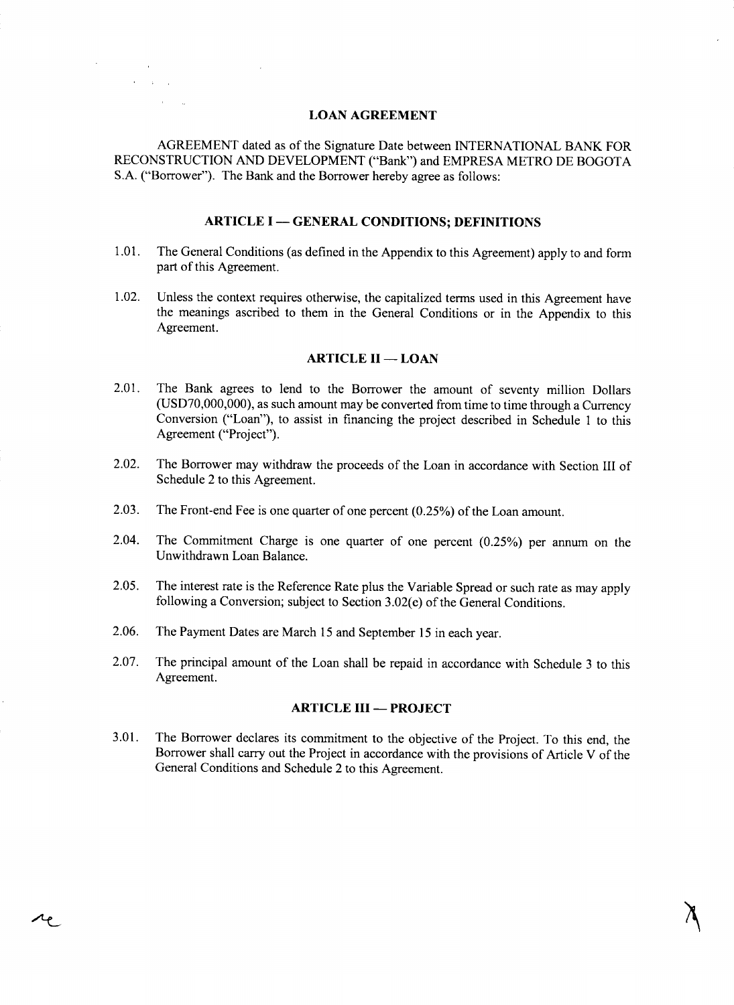#### **LOAN AGREEMENT**

**College**  $\lambda_{\rm{max}}$  and  $\lambda_{\rm{max}}$  $\alpha$  ,  $\alpha$ 

 $\lambda_{\mathfrak{C}}$ 

**AGREEMENT** dated as of the Signature Date between **INTERNATIONAL** BANK FOR **RECONSTRUCTION AND DEVELOPMENT** ("Bank") and EMPRESA METRO **DE** BOGOTA **S.A.** ("Borrower"). The Bank and the Borrower hereby agree as follows:

#### **ARTICLE I - GENERAL CONDITIONS; DEFINITIONS**

- **1.01.** The General Conditions (as defined in the Appendix to this Agreement) apply to and form part of this Agreement.
- 1.02. Unless the context requires otherwise, the capitalized terms used in this Agreement have the meanings ascribed to them in the General Conditions or in the Appendix to this Agreement.

#### **ARTICLE II - LOAN**

- 2.01. The Bank agrees to lend to the Borrower the amount of seventy million Dollars **(USD70,000,000),** as such amount may be converted from time to time through a Currency Conversion ("Loan"), to assist in financing the project described in Schedule 1 to this Agreement ("Project").
- 2.02. The Borrower may withdraw the proceeds of the Loan in accordance with Section **III** of Schedule 2 to this Agreement.
- **2.03.** The Front-end Fee is one quarter of one percent *(0.25%)* of the Loan amount.
- 2.04. The Commitment Charge is one quarter of one percent **(0.25%)** per annum on the Unwithdrawn Loan Balance.
- *2.05.* The interest rate is the Reference Rate plus the Variable Spread or such rate as may apply following a Conversion; subject to Section **3.02(e)** of the General Conditions.
- **2.06.** The Payment Dates are March **15** and September **15** in each year.
- **2.07.** The principal amount of the Loan shall be repaid in accordance with Schedule **3** to this Agreement.

#### **ARTICLE III - PROJECT**

**3.01.** The Borrower declares its commitment to the objective of the Project. To this end, the Borrower shall carry out the Project in accordance with the provisions of Article V of the General Conditions and Schedule 2 to this Agreement.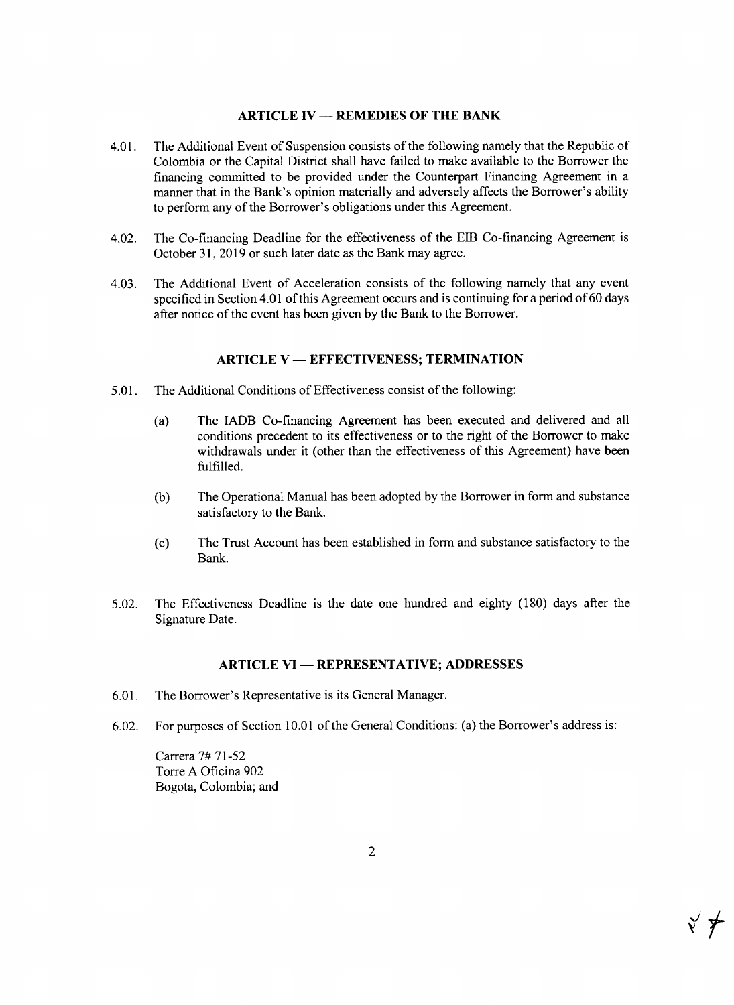#### **ARTICLE IV - REMEDIES OF THE BANK**

- 4.01. The Additional Event of Suspension consists of the following namely that the Republic of Colombia or the Capital District shall have failed to make available to the Borrower the financing committed to be provided under the Counterpart Financing Agreement in a manner that in the Bank's opinion materially and adversely affects the Borrower's ability to perform any of the Borrower's obligations under this Agreement.
- 4.02. The Co-financing Deadline for the effectiveness of the EIB Co-financing Agreement is October **31, 2019** or such later date as the Bank may agree.
- 4.03. The Additional Event of Acceleration consists of the following namely that any event specified in Section 4.01 of this Agreement occurs and is continuing for a period of **60** days after notice of the event has been given **by** the Bank to the Borrower.

#### **ARTICLE** V **- EFFECTIVENESS; TERMINATION**

- *5.01.* The Additional Conditions of Effectiveness consist of the following:
	- (a) The IADB Co-financing Agreement has been executed and delivered and all conditions precedent to its effectiveness or to the right of the Borrower to make withdrawals under it (other than the effectiveness of this Agreement) have been fulfilled.
	- **(b)** The Operational Manual has been adopted **by** the Borrower in form and substance satisfactory to the Bank.
	- **(c)** The Trust Account has been established in form and substance satisfactory to the Bank.
- **5.02.** The Effectiveness Deadline is the date one hundred and eighty **(180)** days after the Signature Date.

#### **ARTICLE VI - REPRESENTATIVE; ADDRESSES**

- **6.01.** The Borrower's Representative is its General Manager.
- **6.02.** For purposes of Section **10.01** of the General Conditions: (a) the Borrower's address is:

Carrera **7# 71-52** Torre **A** Oficina **902** Bogota, Colombia; and

 $\forall$   $\neq$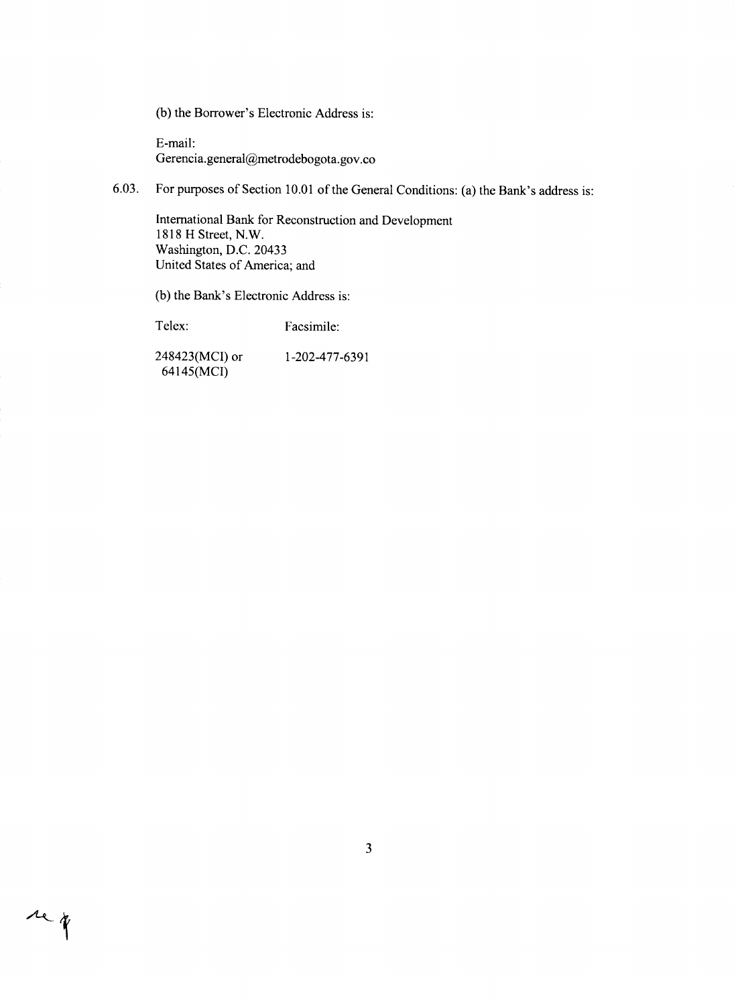**(b)** the Borrower's Electronic Address **is:**

E-mail: Gerencia.general@metrodebogota.gov.co

**6.03.** For purposes of Section **10.01** of the General Conditions: (a) the Bank's address is:

International Bank for Reconstruction and Development **1818** H Street, N.W. Washington, **D.C.** 20433 United States of America; and

**(b)** the Bank's Electronic Address is:

Telex: Facsimile:

rep

248423(MCI) or **1-202-477-6391** 64145(MCI)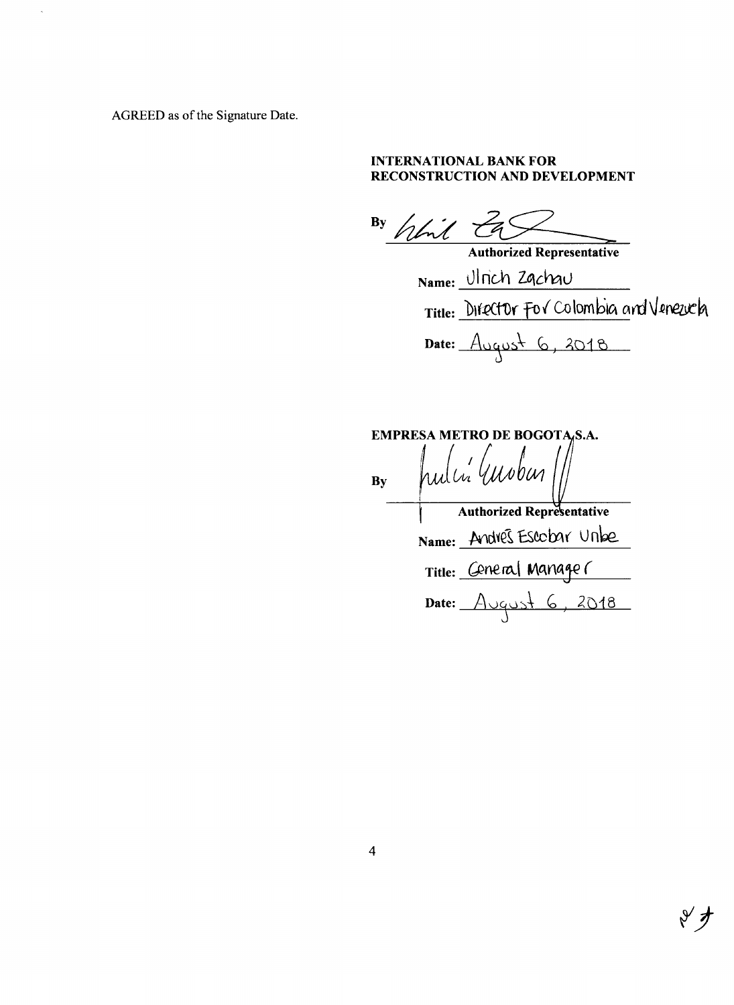AGREED as of the Signature Date.

#### **INTERNATIONAL** BANK FOR **RECONSTRUCTION AND DEVELOPMENT**

 $\begin{array}{c} \text{By} \\ \text{fcm} \end{array}$ 

Authorized Representative Name: Ulrich Ząchqu Title: Difector For Colombia and Veneuch Date:  $Augush 6, 2018$ 

|    |                | EMPRESA METRO DE BOGOTA,S.A.     |  |
|----|----------------|----------------------------------|--|
| By | pulci (mober / |                                  |  |
|    |                | <b>Authorized Representative</b> |  |
|    |                | Name: Andres Escobar Unbe        |  |
|    |                | Title: Ceneral Manager           |  |
|    |                | Date: August 6, 2018             |  |
|    |                |                                  |  |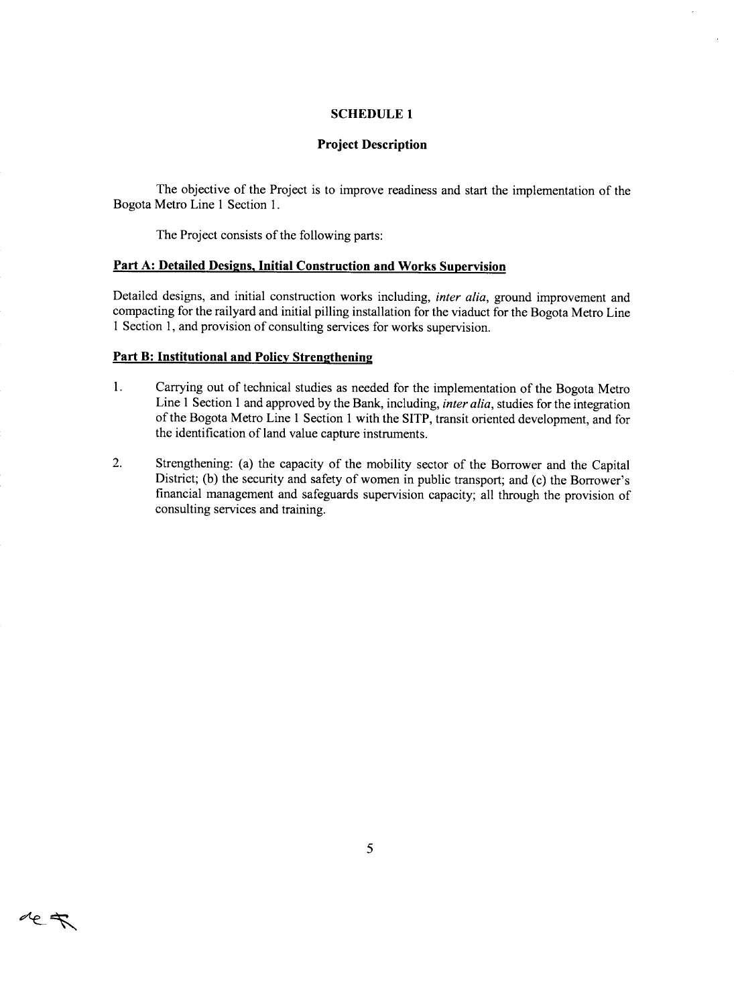#### **SCHEDULE 1**

#### **Project Description**

The objective of the Project is to improve readiness and start the implementation of the Bogota Metro Line 1 Section **1.**

The Project consists of the following parts:

#### **Part A: Detailed Designs, Initial Construction and Works Supervision**

Detailed designs, and initial construction works including, *inter alia,* ground improvement and compacting for the railyard and initial pilling installation for the viaduct for the Bogota Metro Line 1 Section **1,** and provision of consulting services for works supervision.

#### **Part** B: **Institutional and Policy Strengthening**

ret

- **1.** Carrying out of technical studies as needed for the implementation of the Bogota Metro Line 1 Section 1 and approved **by** the Bank, including, *inter alia,* studies for the integration of the Bogota Metro Line 1 Section 1 with the SITP, transit oriented development, and for the identification of land value capture instruments.
- 2. Strengthening: (a) the capacity of the mobility sector of the Borrower and the Capital District; (b) the security and safety of women in public transport; and (c) the Borrower's financial management and safeguards supervision capacity; all through the provision of consulting services and training.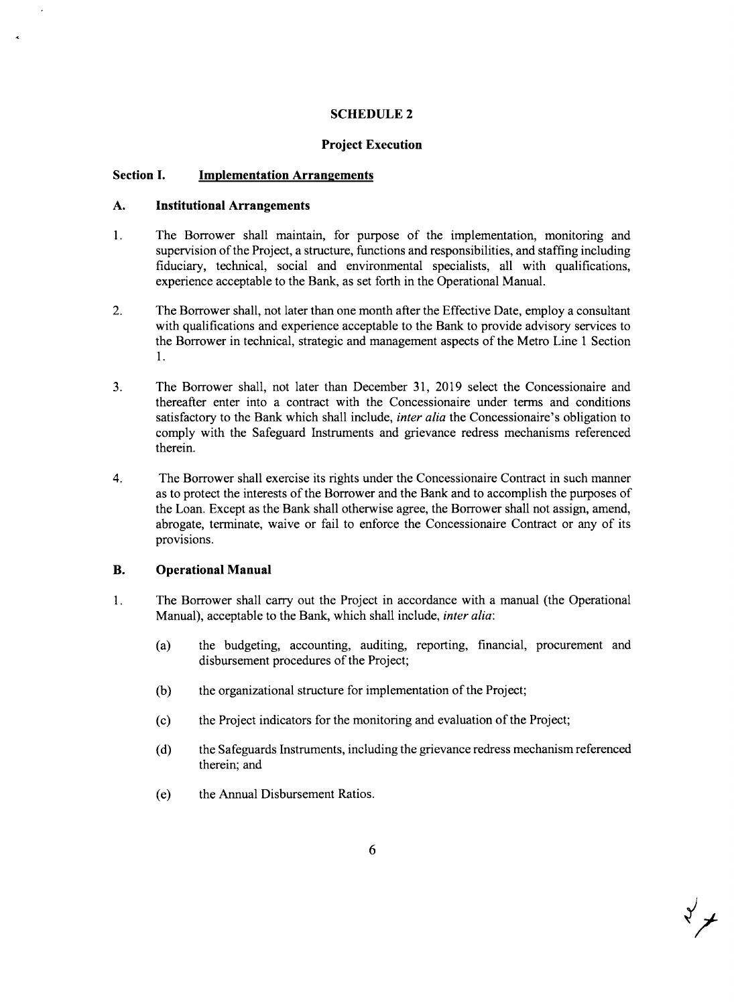#### **SCHEDULE 2**

#### **Project Execution**

#### **Section I. Implementation Arrangements**

#### **A. Institutional Arrangements**

- 1. The Borrower shall maintain, for purpose of the implementation, monitoring and supervision of the Project, a structure, functions and responsibilities, and staffing including fiduciary, technical, social and environmental specialists, all with qualifications, experience acceptable to the Bank, as set forth in the Operational Manual.
- 2. The Borrower shall, not later than one month after the Effective Date, employ a consultant with qualifications and experience acceptable to the Bank to provide advisory services to the Borrower in technical, strategic and management aspects of the Metro Line 1 Section 1.
- **3.** The Borrower shall, not later than December **31, 2019** select the Concessionaire and thereafter enter into a contract with the Concessionaire under terms and conditions satisfactory to the Bank which shall include, *inter alia* the Concessionaire's obligation to comply with the Safeguard Instruments and grievance redress mechanisms referenced therein.
- 4. The Borrower shall exercise its rights under the Concessionaire Contract in such manner as to protect the interests of the Borrower and the Bank and to accomplish the purposes of the Loan. Except as the Bank shall otherwise agree, the Borrower shall not assign, amend, abrogate, terminate, waive or fail to enforce the Concessionaire Contract or any of its provisions.

#### B. **Operational Manual**

- <sup>1</sup>**.** The Borrower shall carry out the Project in accordance with a manual (the Operational Manual), acceptable to the Bank, which shall include, *inter alia:*
	- (a) the budgeting, accounting, auditing, reporting, financial, procurement and disbursement procedures of the Project;
	- **(b)** the organizational structure for implementation of the Project;
	- **(c)** the Project indicators for the monitoring and evaluation of the Project;
	- **(d)** the Safeguards Instruments, including the grievance redress mechanism referenced therein; and
	- **(e)** the Annual Disbursement Ratios.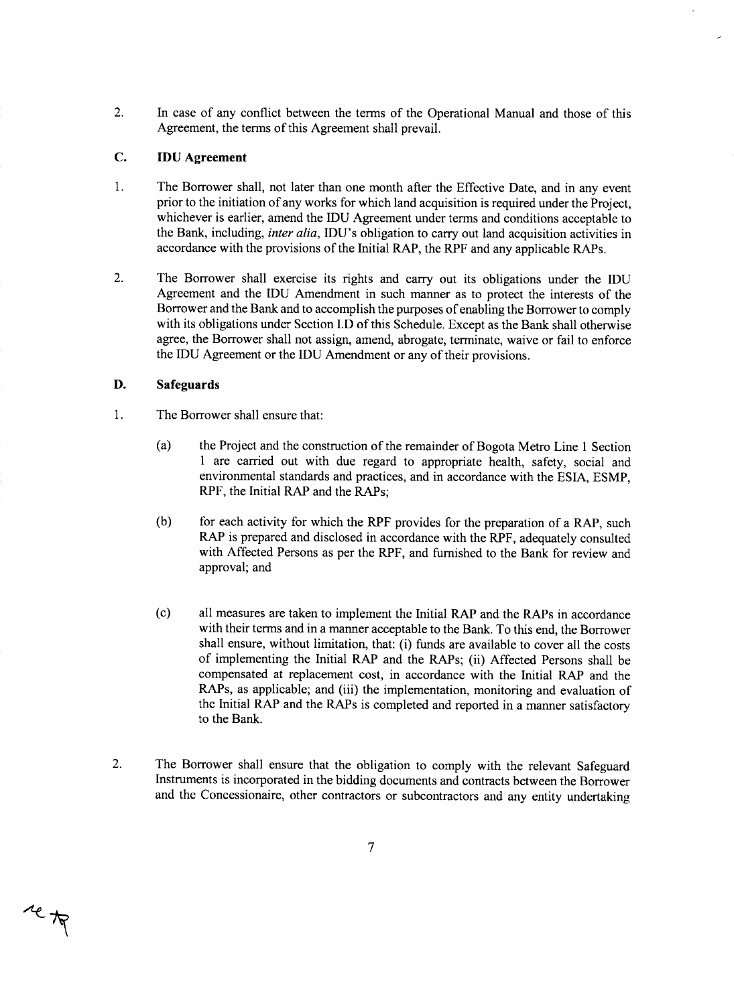2. In case of any conflict between the terms of the Operational Manual and those of this Agreement, the terms of this Agreement shall prevail.

#### **C. IDU Agreement**

- **1 .** The Borrower shall, not later than one month after the Effective Date, and in any event prior to the initiation of any works for which land acquisition is required under the Project, whichever is earlier, amend the **IDU** Agreement under terms and conditions acceptable to the Bank, including, *inter alia,* IDU's obligation to carry out land acquisition activities in accordance with the provisions of the Initial RAP, the RPF and any applicable RAPs.
- 2. The Borrower shall exercise its rights and carry out its obligations under the **IDU** Agreement and the **IDU** Amendment in such manner as to protect the interests of the Borrower and the Bank and to accomplish the purposes of enabling the Borrower to comply with its obligations under Section **I.D** of this Schedule. Except as the Bank shall otherwise agree, the Borrower shall not assign, amend, abrogate, terminate, waive or fail to enforce the **IDU** Agreement or the **IDU** Amendment or any of their provisions.

#### **D. Safeguards**

re to

- 1. The Borrower shall ensure that:
	- (a) the Project and the construction of the remainder of Bogota Metro Line 1 Section **<sup>I</sup>**are carried out with due regard to appropriate health, safety, social and environmental standards and practices, and in accordance with the **ESIA, ESMP,** RPF, the Initial RAP and the RAPs;
	- **(b)** for each activity for which the RPF provides for the preparation of a RAP, such RAP is prepared and disclosed in accordance with the RPF, adequately consulted with Affected Persons as per the RPF, and furnished to the Bank for review and approval; and
	- **(c)** all measures are taken to implement the Initial RAP and the RAPs in accordance with their terms and in a manner acceptable to the Bank. To this end, the Borrower shall ensure, without limitation, that: (i) funds are available to cover all the costs of implementing the Initial RAP and the RAPs; (ii) Affected Persons shall be compensated at replacement cost, in accordance with the Initial RAP and the RAPs, as applicable; and (iii) the implementation, monitoring and evaluation of the Initial RAP and the RAPs is completed and reported in a manner satisfactory to the Bank.
- 2. The Borrower shall ensure that the obligation to comply with the relevant Safeguard Instruments is incorporated in the bidding documents and contracts between the Borrower and the Concessionaire, other contractors or subcontractors and any entity undertaking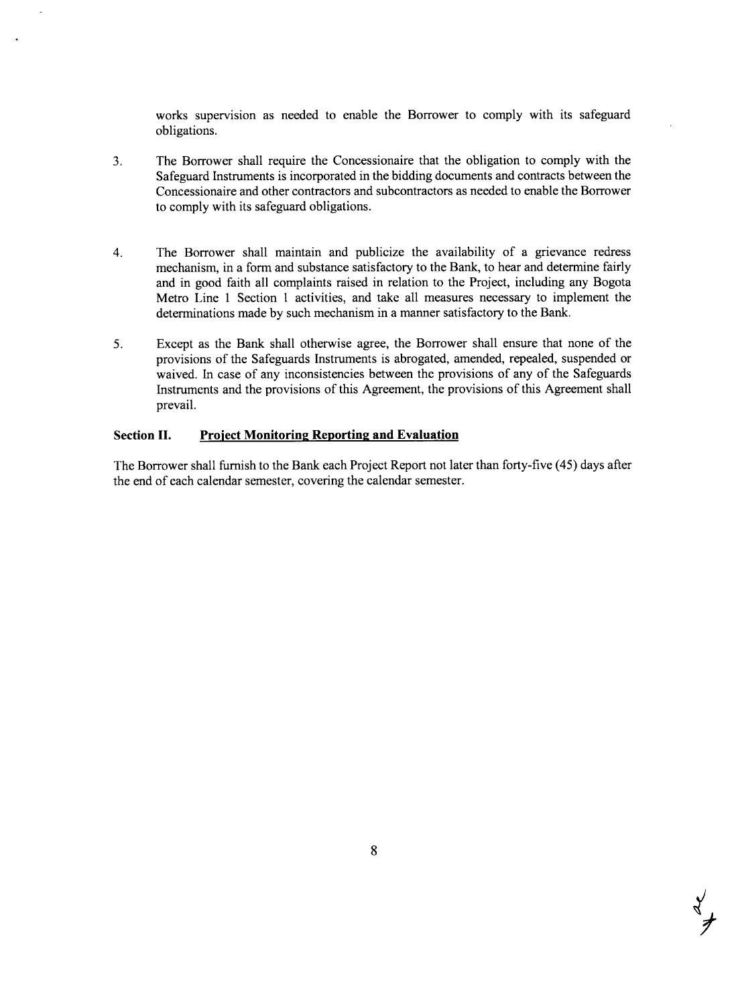works supervision as needed to enable the Borrower to comply with its safeguard obligations.

- **3.** The Borrower shall require the Concessionaire that the obligation to comply with the Safeguard Instruments is incorporated in the bidding documents and contracts between the Concessionaire and other contractors and subcontractors as needed to enable the Borrower to comply with its safeguard obligations.
- 4. The Borrower shall maintain and publicize the availability of a grievance redress mechanism, in a form and substance satisfactory to the Bank, to hear and determine fairly and in good faith all complaints raised in relation to the Project, including any Bogota Metro Line 1 Section **I** activities, and take all measures necessary to implement the determinations made **by** such mechanism in a manner satisfactory to the Bank.
- **5.** Except as the Bank shall otherwise agree, the Borrower shall ensure that none of the provisions of the Safeguards Instruments is abrogated, amended, repealed, suspended or waived. In case of any inconsistencies between the provisions of any of the Safeguards Instruments and the provisions of this Agreement, the provisions of this Agreement shall prevail.

#### **Section II. Project Monitoring Reporting and Evaluation**

The Borrower shall furnish to the Bank each Project Report not later than forty-five (45) days after the end of each calendar semester, covering the calendar semester.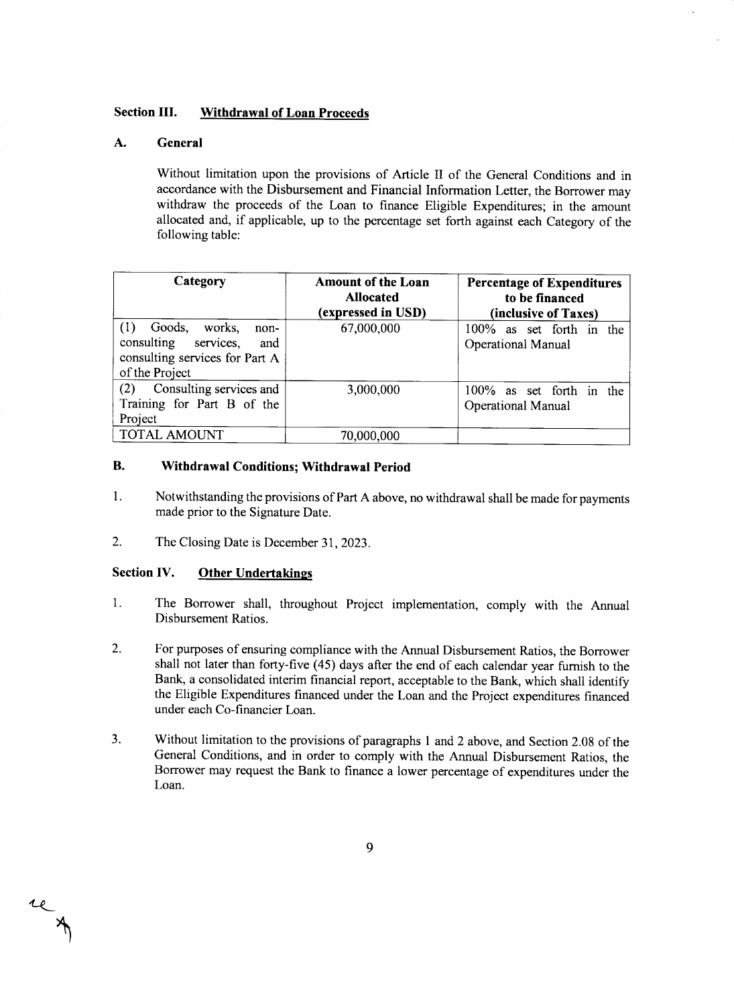#### **Section III. Withdrawal of Loan Proceeds**

#### **A. General**

Without limitation upon the provisions of Article II of the General Conditions and in accordance with the Disbursement and Financial Information Letter, the Borrower may withdraw the proceeds of the Loan to finance Eligible Expenditures; in the amount allocated and, if applicable, up to the percentage set forth against each Category of the following table:

| Category                                                                                                              | <b>Amount of the Loan</b><br><b>Allocated</b><br>(expressed in USD) | <b>Percentage of Expenditures</b><br>to be financed<br>(inclusive of Taxes) |
|-----------------------------------------------------------------------------------------------------------------------|---------------------------------------------------------------------|-----------------------------------------------------------------------------|
| (1)<br>Goods.<br>works,<br>non-<br>consulting<br>services,<br>and<br>consulting services for Part A<br>of the Project | 67,000,000                                                          | 100% as set forth in the<br>Operational Manual                              |
| Consulting services and<br>(2)<br>Training for Part B of the<br>Project                                               | 3,000,000                                                           | 100% as set forth in the<br><b>Operational Manual</b>                       |
| <b>TOTAL AMOUNT</b>                                                                                                   | 70,000,000                                                          |                                                                             |

#### B. **Withdrawal Conditions; Withdrawal Period**

- 1. Notwithstanding the provisions of Part **A** above, no withdrawal shall be made for payments made prior to the Signature Date.
- 2. The Closing Date is December **31, 2023.**

#### **Section IV. Other Undertakings**

re

- 1. The Borrower shall, throughout Project implementation, comply with the Annual Disbursement Ratios.
- 2. For purposes of ensuring compliance with the Annual Disbursement Ratios, the Borrower shall not later than forty-five (45) days after the end of each calendar year furnish to the Bank, a consolidated interim financial report, acceptable to the Bank, which shall identify the Eligible Expenditures financed under the Loan and the Project expenditures financed under each Co-financier Loan.
- **3.** Without limitation to the provisions of paragraphs 1 and 2 above, and Section **2.08** of the General Conditions, and in order to comply with the Annual Disbursement Ratios, the Borrower may request the Bank to finance a lower percentage of expenditures under the Loan.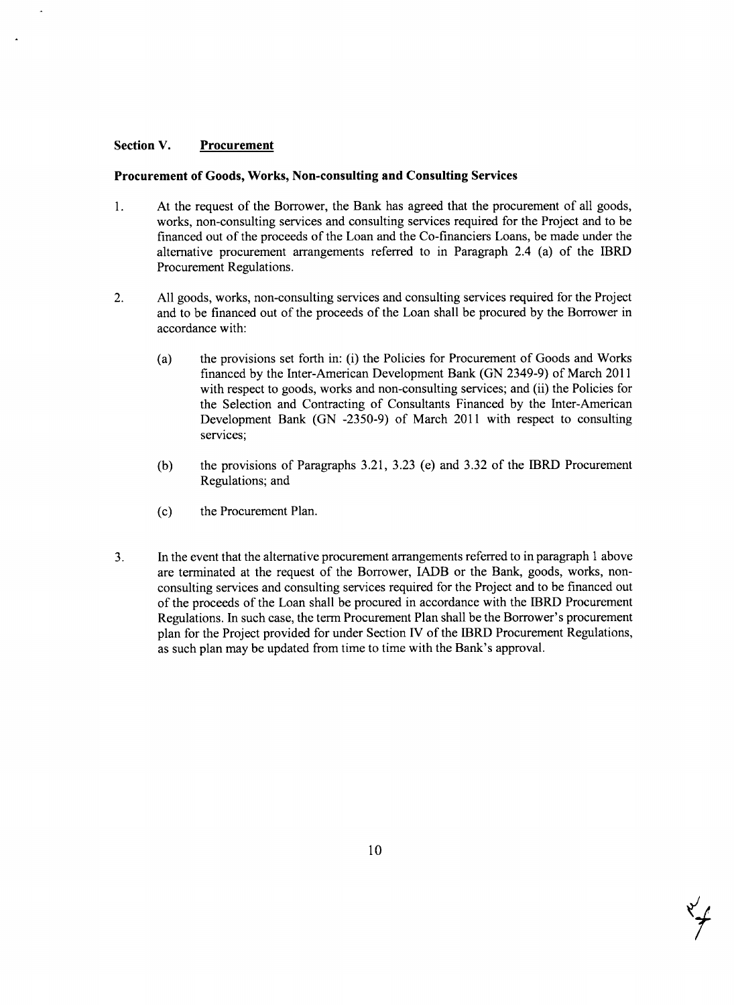#### **Section V. Procurement**

#### **Procurement of Goods, Works, Non-consulting and Consulting Services**

- 1. At the request of the Borrower, the Bank has agreed that the procurement of all goods, works, non-consulting services and consulting services required for the Project and to be financed out of the proceeds of the Loan and the Co-financiers Loans, be made under the alternative procurement arrangements referred to in Paragraph 2.4 (a) of the IBRD Procurement Regulations.
- 2. **All** goods, works, non-consulting services and consulting services required for the Project and to be financed out of the proceeds of the Loan shall be procured **by** the Borrower in accordance with:
	- (a) the provisions set forth in: (i) the Policies for Procurement of Goods and Works financed **by** the Inter-American Development Bank **(GN** 2349-9) of March 2011 with respect to goods, works and non-consulting services; and (ii) the Policies for the Selection and Contracting of Consultants Financed **by** the Inter-American Development Bank **(GN** *-2350-9)* of March 2011 with respect to consulting services;
	- **(b)** the provisions of Paragraphs **3.21, 3.23** (e) and **3.32** of the IBRD Procurement Regulations; and
	- **(c)** the Procurement Plan.
- **3.** In the event that the alternative procurement arrangements referred to in paragraph **I** above are terminated at the request of the Borrower, IADB or the Bank, goods, works, nonconsulting services and consulting services required for the Project and to be financed out of the proceeds of the Loan shall be procured in accordance with the IBRD Procurement Regulations. In such case, the term Procurement Plan shall be the Borrower's procurement plan for the Project provided for under Section IV of the IBRD Procurement Regulations, as such plan may be updated from time to time with the Bank's approval.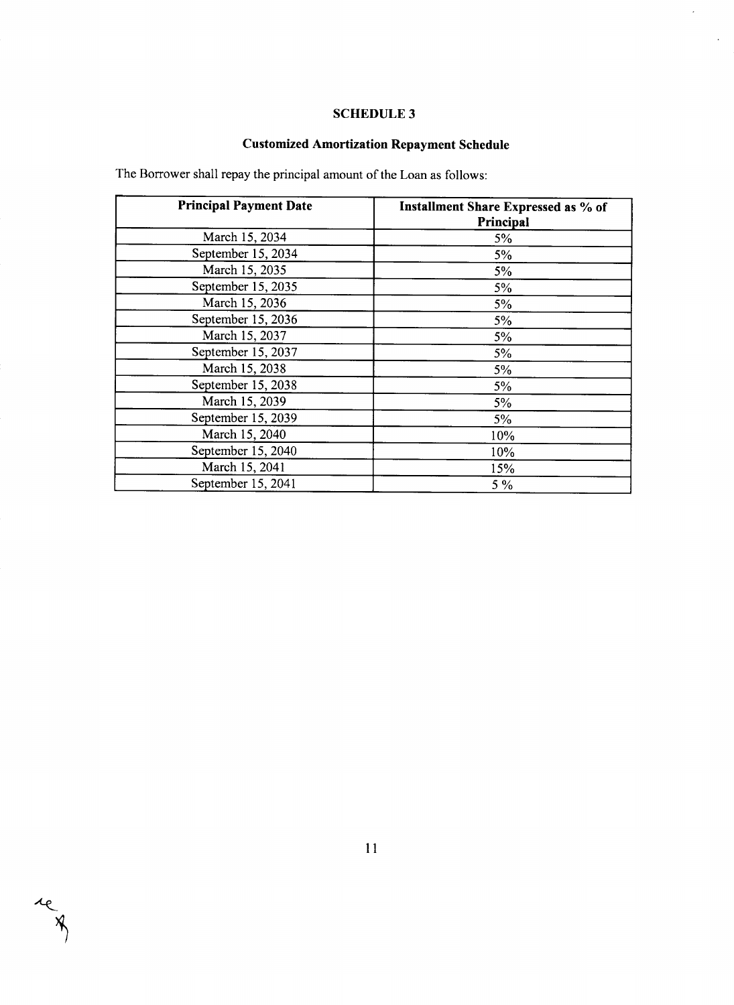### **SCHEDULE 3**

 $\mathcal{L}$ 

 $\hat{\mathcal{L}}$ 

## **Customized Amortization Repayment Schedule**

The Borrower shall repay the principal amount of the Loan as follows:

| <b>Principal Payment Date</b> | Installment Share Expressed as % of<br>Principal |
|-------------------------------|--------------------------------------------------|
| March 15, 2034                | 5%                                               |
| September 15, 2034            | 5%                                               |
| March 15, 2035                | $5\%$                                            |
| September 15, 2035            | 5%                                               |
| March 15, 2036                | 5%                                               |
| September 15, 2036            | 5%                                               |
| March 15, 2037                | 5%                                               |
| September 15, 2037            | 5%                                               |
| March 15, 2038                | 5%                                               |
| September 15, 2038            | 5%                                               |
| March 15, 2039                | 5%                                               |
| September 15, 2039            | 5%                                               |
| March 15, 2040                | 10%                                              |
| September 15, 2040            | 10%                                              |
| March 15, 2041                | 15%                                              |
| September 15, 2041            | 5 %                                              |

reg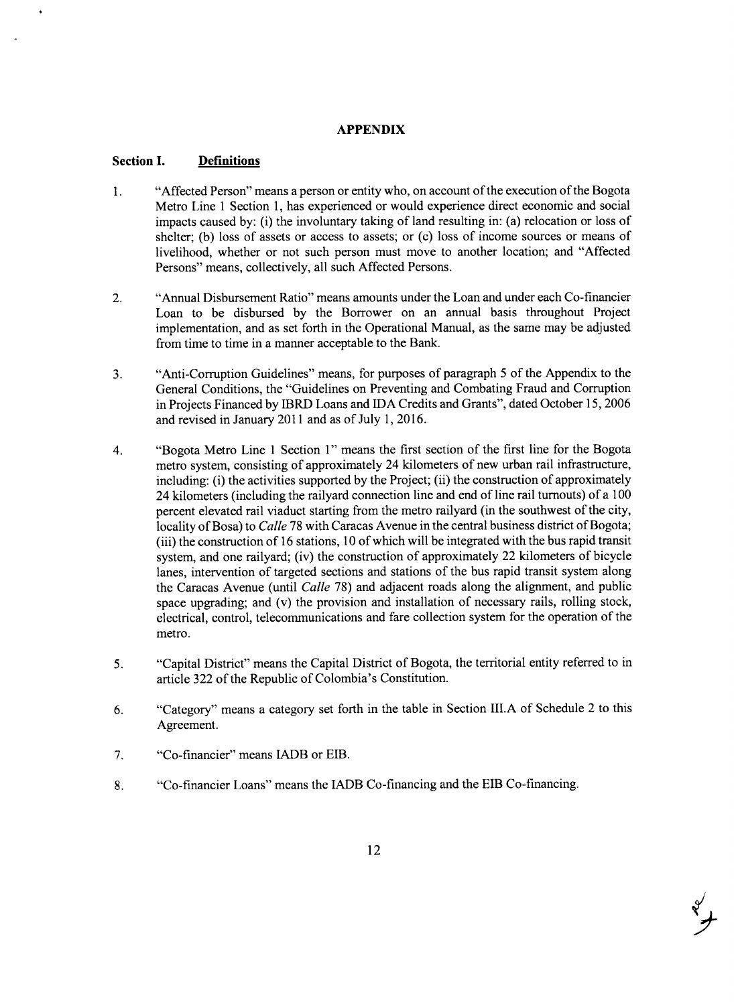#### **APPENDIX**

#### **Section I. Definitions**

- 1. "Affected Person" means a person or entity who, on account of the execution of the Bogota Metro Line 1 Section **1,** has experienced or would experience direct economic and social impacts caused **by:** (i) the involuntary taking of land resulting in: (a) relocation or loss of shelter; **(b)** loss of assets or access to assets; or (c) loss of income sources or means of livelihood, whether or not such person must move to another location; and "Affected Persons" means, collectively, all such Affected Persons.
- 2. "Annual Disbursement Ratio" means amounts under the Loan and under each Co-financier Loan to be disbursed **by** the Borrower on an annual basis throughout Project implementation, and as set forth in the Operational Manual, as the same may be adjusted from time to time in a manner acceptable to the Bank.
- **3.** "Anti-Corruption Guidelines" means, for purposes of paragraph *5* of the Appendix to the General Conditions, the "Guidelines on Preventing and Combating Fraud and Corruption in Projects Financed **by** IBRD Loans and **IDA** Credits and Grants", dated October *15,* **2006** and revised in January 2011 and as of July **1, 2016.**
- 4. "Bogota Metro Line 1 Section **1"** means the first section of the first line for the Bogota metro system, consisting of approximately 24 kilometers of new urban rail infrastructure, including: (i) the activities supported **by** the Project; (ii) the construction of approximately 24 kilometers (including the railyard connection line and end of line rail turnouts) of a **100** percent elevated rail viaduct starting from the metro railyard (in the southwest of the city, locality of Bosa) to *Calle* **78** with Caracas Avenue in the central business district of Bogota; (iii) the construction of **16** stations, **10** of which will be integrated with the bus rapid transit system, and one railyard; (iv) the construction of approximately 22 kilometers of bicycle lanes, intervention of targeted sections and stations of the bus rapid transit system along the Caracas Avenue (until *Calle* **78)** and adjacent roads along the alignment, and public space upgrading; and (v) the provision and installation of necessary rails, rolling stock, electrical, control, telecommunications and fare collection system for the operation of the metro.
- *5.* "Capital District" means the Capital District of Bogota, the territorial entity referred to in article **322** of the Republic of Colombia's Constitution.
- **6.** "Category" means a category set forth in the table in Section **III.A** of Schedule 2 to this Agreement.
- **7.** "Co-financier" means IADB or EIB.
- **8.** "Co-financier Loans" means the IADB Co-financing and the EIB Co-financing.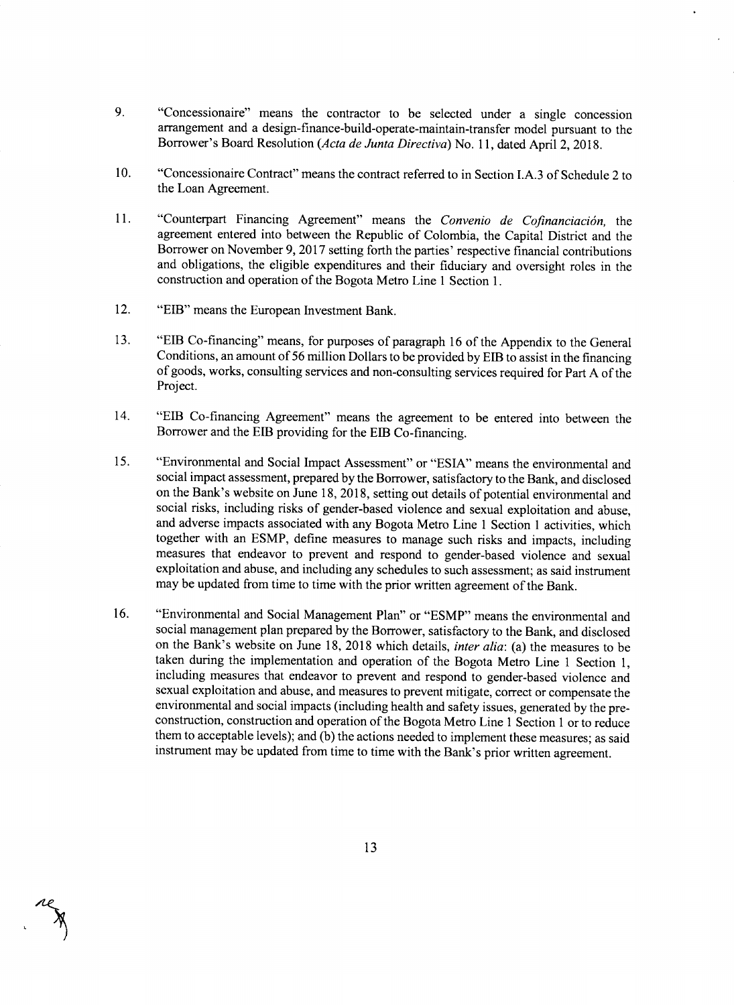- **9.** "Concessionaire" means the contractor to be selected under a single concession arrangement and a design-finance-build-operate-maintain-transfer model pursuant to the Borrower's Board Resolution *(Acta de Junta Directiva) No.* **11,** dated April 2, **2018.**
- **10.** "Concessionaire Contract" means the contract referred to in Section **I.A.3** of Schedule 2 to the Loan Agreement.
- **11.** "Counterpart Financing Agreement" means the *Convenio de Cofinanciaci6n, the* agreement entered into between the Republic of Colombia, the Capital District and the Borrower on November **9, 2017** setting forth the parties' respective financial contributions and obligations, the eligible expenditures and their fiduciary and oversight roles in the construction and operation of the Bogota Metro Line 1 Section **1.**
- 12. "EIB" means the European Investment Bank.
- **13.** "EIB Co-financing" means, for purposes of paragraph **16** of the Appendix to the General Conditions, an amount of **56** million Dollars to **be** provided **by EIB** to assist in the financing of goods, works, consulting services and non-consulting services required for Part **A** of the Project.
- 14. "EIB Co-financing Agreement" means the agreement to be entered into between the Borrower and the EIB providing for the **EfB** Co-financing.
- *15.* "Environmental and Social Impact Assessment" or **"ESIA"** means the environmental and social impact assessment, prepared **by** the Borrower, satisfactory to the Bank, and disclosed on the Bank's website on June **18, 2018,** setting out details of potential environmental and and adverse impacts associated with any Bogota Metro Line 1 Section 1 activities, which together with an **ESMP,** define measures to manage such risks and impacts, including measures that endeavor to prevent and respond to gender-based violence and sexual exploitation and abuse, and including any schedules to such assessment; as said instrument may be updated from time to time with the prior written agreement of the Bank.
- **16.** "Environmental and Social Management Plan" or **"ESMP"** means the environmental and social management plan prepared **by** the Borrower, satisfactory to the Bank, and disclosed on the Bank's website on June **18, 2018** which details, *inter alia:* (a) the measures to be taken during the implementation and operation of the Bogota Metro Line 1 Section **1,** including measures that endeavor to prevent and respond to gender-based violence and sexual exploitation and abuse, and measures to prevent mitigate, correct or compensate the construction, construction and operation of the Bogota Metro Line 1 Section 1 or to reduce them to acceptable levels); and **(b)** the actions needed to implement these measures; as said instrument may **be** updated from time to time with the Bank's prior written agreement.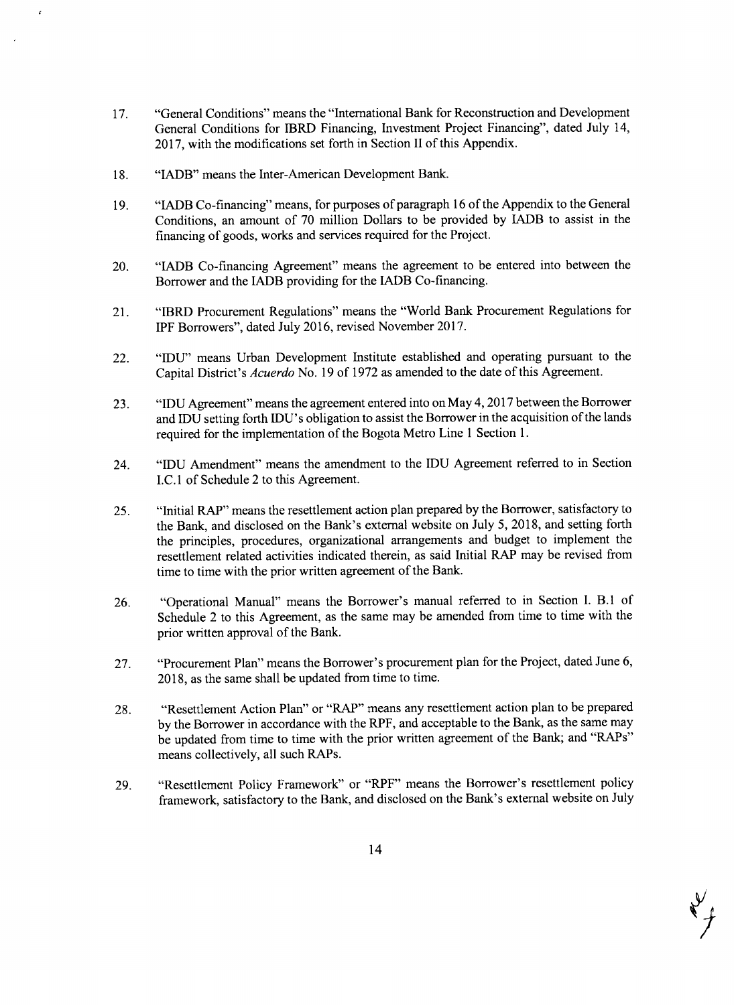- **17.** "General Conditions" means the "International Bank for Reconstruction and Development General Conditions for IBRD Financing, Investment Project Financing", dated July 14, **2017,** with the modifications set forth in Section II of this Appendix.
- **18.** "IADB" means the Inter-American Development Bank.
- **19.** "IADB Co-financing" means, for purposes of paragraph **16** of the Appendix to the General Conditions, an amount of **70** million Dollars to be provided **by** IADB to assist in the financing of goods, works and services required for the Project.
- 20. "IADB Co-financing Agreement" means the agreement to be entered into between the Borrower and the IADB providing for the IADB Co-financing.
- 21. "IBRD Procurement Regulations" means the "World Bank Procurement Regulations for IPF Borrowers", dated July **2016,** revised November **2017.**
- 22. **"IDU"** means Urban Development Institute established and operating pursuant to the Capital District's *Acuerdo* No. **19** of **1972** as amended to the date of this Agreement.
- **23. "IDU** Agreement" means the agreement entered into on May 4, **2017** between the Borrower and **IDU** setting forth IDU's obligation to assist the Borrower in the acquisition of the lands required for the implementation of the Bogota Metro Line 1 Section **1.**
- 24. **"IDU** Amendment" means the amendment to the **IDU** Agreement referred to in Section *I.C.1* of Schedule 2 to this Agreement.
- *25.* "Initial RAP" means the resettlement action plan prepared **by** the Borrower, satisfactory to the Bank, and disclosed on the Bank's external website on July *5,* **2018,** and setting forth the principles, procedures, organizational arrangements and budget to implement the resettlement related activities indicated therein, as said Initial RAP may be revised from time to time with the prior written agreement of the Bank.
- **26.** "Operational Manual" means the Borrower's manual referred to in Section **I.** B.1 of Schedule 2 to this Agreement, as the same may be amended from time to time with the prior written approval of the Bank.
- **27.** "Procurement Plan" means the Borrower's procurement plan for the Project, dated June **6, 2018,** as the same shall be updated from time to time.
- **28.** "Resettlement Action Plan" or "RAP" means any resettlement action plan to be prepared **by** the Borrower in accordance with the RPF, and acceptable to the Bank, as the same may be updated from time to time with the prior written agreement of the Bank; and "RAPs" means collectively, all such RAPs.
- **29.** "Resettlement Policy Framework" or "RPF" means the Borrower's resettlement policy framework, satisfactory to the Bank, and disclosed on the Bank's external website on July